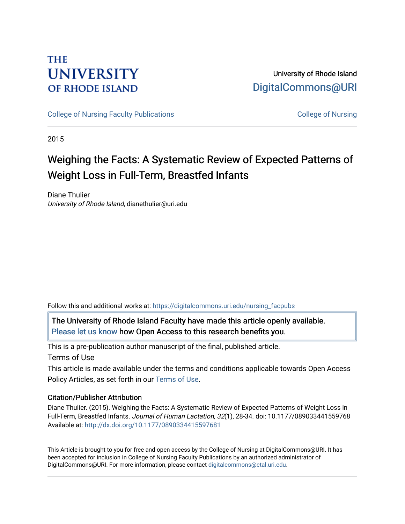## **THE UNIVERSITY OF RHODE ISLAND**

## University of Rhode Island [DigitalCommons@URI](https://digitalcommons.uri.edu/)

[College of Nursing Faculty Publications](https://digitalcommons.uri.edu/nursing_facpubs) **College of Nursing** College of Nursing

2015

## Weighing the Facts: A Systematic Review of Expected Patterns of Weight Loss in Full-Term, Breastfed Infants

Diane Thulier University of Rhode Island, dianethulier@uri.edu

Follow this and additional works at: [https://digitalcommons.uri.edu/nursing\\_facpubs](https://digitalcommons.uri.edu/nursing_facpubs?utm_source=digitalcommons.uri.edu%2Fnursing_facpubs%2F10&utm_medium=PDF&utm_campaign=PDFCoverPages) 

The University of Rhode Island Faculty have made this article openly available. [Please let us know](http://web.uri.edu/library-digital-initiatives/open-access-online-form/) how Open Access to this research benefits you.

This is a pre-publication author manuscript of the final, published article.

Terms of Use

This article is made available under the terms and conditions applicable towards Open Access Policy Articles, as set forth in our [Terms of Use](https://digitalcommons.uri.edu/nursing_facpubs/oa_policy_terms.html).

## Citation/Publisher Attribution

Diane Thulier. (2015). Weighing the Facts: A Systematic Review of Expected Patterns of Weight Loss in Full-Term, Breastfed Infants. Journal of Human Lactation, 32(1), 28-34. doi: 10.1177/089033441559768 Available at:<http://dx.doi.org/10.1177/0890334415597681>

This Article is brought to you for free and open access by the College of Nursing at DigitalCommons@URI. It has been accepted for inclusion in College of Nursing Faculty Publications by an authorized administrator of DigitalCommons@URI. For more information, please contact [digitalcommons@etal.uri.edu.](mailto:digitalcommons@etal.uri.edu)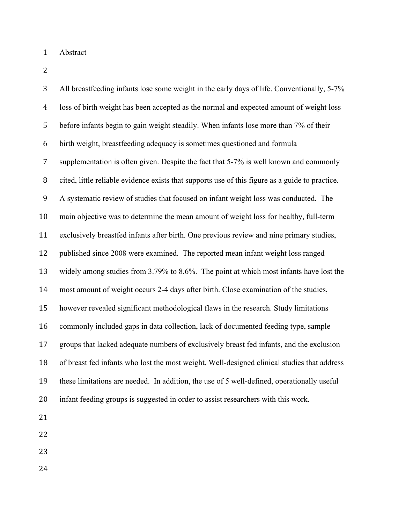Abstract

 All breastfeeding infants lose some weight in the early days of life. Conventionally, 5-7% loss of birth weight has been accepted as the normal and expected amount of weight loss before infants begin to gain weight steadily. When infants lose more than 7% of their birth weight, breastfeeding adequacy is sometimes questioned and formula supplementation is often given. Despite the fact that 5-7% is well known and commonly cited, little reliable evidence exists that supports use of this figure as a guide to practice. A systematic review of studies that focused on infant weight loss was conducted. The main objective was to determine the mean amount of weight loss for healthy, full-term exclusively breastfed infants after birth. One previous review and nine primary studies, published since 2008 were examined. The reported mean infant weight loss ranged widely among studies from 3.79% to 8.6%. The point at which most infants have lost the most amount of weight occurs 2-4 days after birth. Close examination of the studies, however revealed significant methodological flaws in the research. Study limitations commonly included gaps in data collection, lack of documented feeding type, sample groups that lacked adequate numbers of exclusively breast fed infants, and the exclusion of breast fed infants who lost the most weight. Well-designed clinical studies that address these limitations are needed. In addition, the use of 5 well-defined, operationally useful infant feeding groups is suggested in order to assist researchers with this work. 

- 
-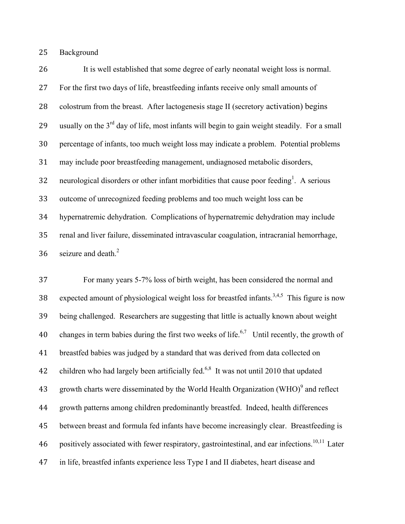Background

 It is well established that some degree of early neonatal weight loss is normal. For the first two days of life, breastfeeding infants receive only small amounts of colostrum from the breast. After lactogenesis stage II (secretory activation) begins 29 usually on the  $3<sup>rd</sup>$  day of life, most infants will begin to gain weight steadily. For a small percentage of infants, too much weight loss may indicate a problem. Potential problems may include poor breastfeeding management, undiagnosed metabolic disorders, 32 neurological disorders or other infant morbidities that cause poor feeding<sup>1</sup>. A serious outcome of unrecognized feeding problems and too much weight loss can be hypernatremic dehydration. Complications of hypernatremic dehydration may include renal and liver failure, disseminated intravascular coagulation, intracranial hemorrhage, 36 seizure and death.

 For many years 5-7% loss of birth weight, has been considered the normal and 38 expected amount of physiological weight loss for breastfed infants.<sup>3,4,5</sup> This figure is now being challenged. Researchers are suggesting that little is actually known about weight 40 changes in term babies during the first two weeks of life.<sup>6,7</sup> Until recently, the growth of breastfed babies was judged by a standard that was derived from data collected on 42 children who had largely been artificially fed.<sup>6,8</sup> It was not until 2010 that updated 43 growth charts were disseminated by the World Health Organization  $(WHO)^9$  and reflect growth patterns among children predominantly breastfed. Indeed, health differences between breast and formula fed infants have become increasingly clear. Breastfeeding is 46 positively associated with fewer respiratory, gastrointestinal, and ear infections.<sup>10,11</sup> Later in life, breastfed infants experience less Type I and II diabetes, heart disease and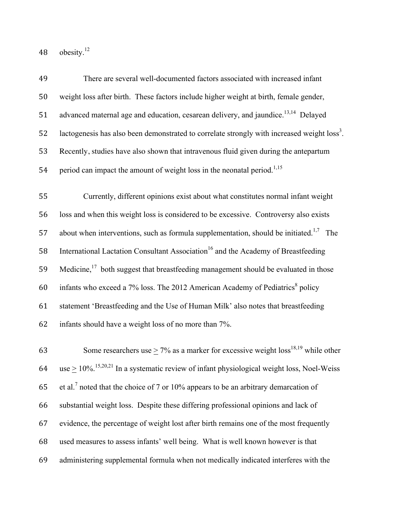48 obesity.

| 49 | There are several well-documented factors associated with increased infant                              |
|----|---------------------------------------------------------------------------------------------------------|
| 50 | weight loss after birth. These factors include higher weight at birth, female gender,                   |
| 51 | advanced maternal age and education, cesarean delivery, and jaundice. <sup>13,14</sup> Delayed          |
| 52 | lactogenesis has also been demonstrated to correlate strongly with increased weight loss <sup>3</sup> . |
| 53 | Recently, studies have also shown that intravenous fluid given during the antepartum                    |
| 54 | period can impact the amount of weight loss in the neonatal period. <sup>1,15</sup>                     |

 Currently, different opinions exist about what constitutes normal infant weight loss and when this weight loss is considered to be excessive. Controversy also exists 57 about when interventions, such as formula supplementation, should be initiated.<sup>1,7</sup> The 58 International Lactation Consultant Association<sup>16</sup> and the Academy of Breastfeeding 59 Medicine, both suggest that breastfeeding management should be evaluated in those 60 infants who exceed a 7% loss. The 2012 American Academy of Pediatrics<sup>8</sup> policy statement 'Breastfeeding and the Use of Human Milk' also notes that breastfeeding infants should have a weight loss of no more than 7%.

63 Some researchers use  $> 7\%$  as a marker for excessive weight loss<sup>18,19</sup> while other 64 use  $\geq 10\%$ .<sup>15,20,21</sup> In a systematic review of infant physiological weight loss, Noel-Weiss 65 et al.<sup>7</sup> noted that the choice of 7 or 10% appears to be an arbitrary demarcation of substantial weight loss. Despite these differing professional opinions and lack of evidence, the percentage of weight lost after birth remains one of the most frequently used measures to assess infants' well being. What is well known however is that administering supplemental formula when not medically indicated interferes with the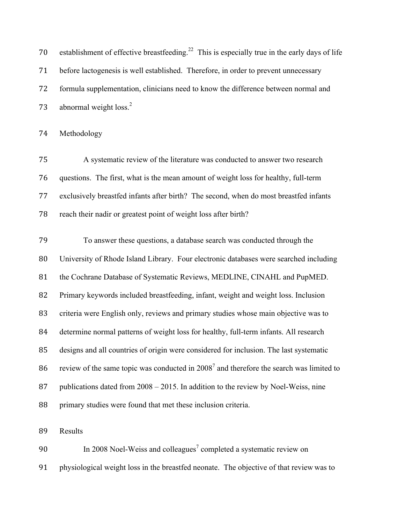| 70 | establishment of effective breastfeeding. <sup>22</sup> This is especially true in the early days of life |
|----|-----------------------------------------------------------------------------------------------------------|
| 71 | before lactogenesis is well established. Therefore, in order to prevent unnecessary                       |
| 72 | formula supplementation, clinicians need to know the difference between normal and                        |
|    | 73 abnormal weight loss. <sup>2</sup>                                                                     |

Methodology

 A systematic review of the literature was conducted to answer two research questions. The first, what is the mean amount of weight loss for healthy, full-term exclusively breastfed infants after birth? The second, when do most breastfed infants reach their nadir or greatest point of weight loss after birth?

 To answer these questions, a database search was conducted through the University of Rhode Island Library. Four electronic databases were searched including the Cochrane Database of Systematic Reviews, MEDLINE, CINAHL and PupMED. Primary keywords included breastfeeding, infant, weight and weight loss. Inclusion criteria were English only, reviews and primary studies whose main objective was to determine normal patterns of weight loss for healthy, full-term infants. All research designs and all countries of origin were considered for inclusion. The last systematic 86 review of the same topic was conducted in  $2008<sup>7</sup>$  and therefore the search was limited to 87 publications dated from 2008 – 2015. In addition to the review by Noel-Weiss, nine primary studies were found that met these inclusion criteria.

Results

90 In 2008 Noel-Weiss and colleagues<sup>7</sup> completed a systematic review on physiological weight loss in the breastfed neonate. The objective of that review was to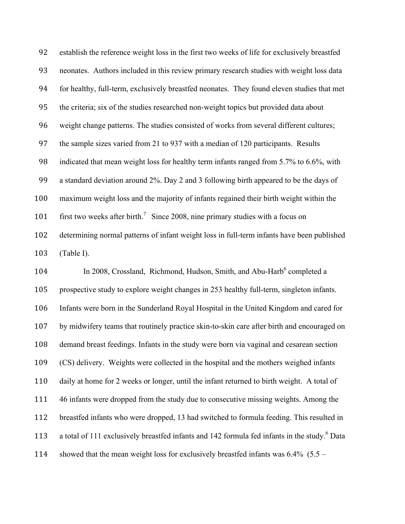establish the reference weight loss in the first two weeks of life for exclusively breastfed neonates. Authors included in this review primary research studies with weight loss data for healthy, full-term, exclusively breastfed neonates. They found eleven studies that met the criteria; six of the studies researched non-weight topics but provided data about weight change patterns. The studies consisted of works from several different cultures; the sample sizes varied from 21 to 937 with a median of 120 participants. Results indicated that mean weight loss for healthy term infants ranged from 5.7% to 6.6%, with a standard deviation around 2%. Day 2 and 3 following birth appeared to be the days of maximum weight loss and the majority of infants regained their birth weight within the 101 first two weeks after birth.<sup>7</sup> Since 2008, nine primary studies with a focus on determining normal patterns of infant weight loss in full-term infants have been published (Table I).

104 In 2008, Crossland, Richmond, Hudson, Smith, and Abu-Harb<sup>6</sup> completed a prospective study to explore weight changes in 253 healthy full-term, singleton infants. Infants were born in the Sunderland Royal Hospital in the United Kingdom and cared for by midwifery teams that routinely practice skin-to-skin care after birth and encouraged on demand breast feedings. Infants in the study were born via vaginal and cesarean section (CS) delivery. Weights were collected in the hospital and the mothers weighed infants daily at home for 2 weeks or longer, until the infant returned to birth weight. A total of 46 infants were dropped from the study due to consecutive missing weights. Among the breastfed infants who were dropped, 13 had switched to formula feeding. This resulted in 113 a total of 111 exclusively breastfed infants and 142 formula fed infants in the study.<sup>6</sup> Data showed that the mean weight loss for exclusively breastfed infants was 6.4% (5.5 –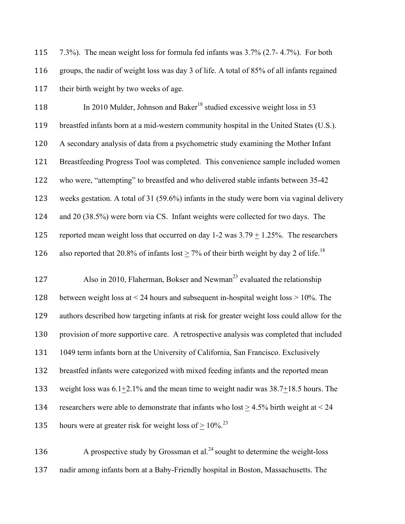7.3%). The mean weight loss for formula fed infants was 3.7% (2.7- 4.7%). For both groups, the nadir of weight loss was day 3 of life. A total of 85% of all infants regained 117 their birth weight by two weeks of age.

118 In 2010 Mulder, Johnson and Baker<sup>18</sup> studied excessive weight loss in 53 breastfed infants born at a mid-western community hospital in the United States (U.S.). A secondary analysis of data from a psychometric study examining the Mother Infant Breastfeeding Progress Tool was completed. This convenience sample included women who were, "attempting" to breastfed and who delivered stable infants between 35-42 weeks gestation. A total of 31 (59.6%) infants in the study were born via vaginal delivery and 20 (38.5%) were born via CS. Infant weights were collected for two days. The 125 reported mean weight loss that occurred on day  $1-2$  was  $3.79 + 1.25\%$ . The researchers 126 also reported that 20.8% of infants lost  $\geq$  7% of their birth weight by day 2 of life.<sup>18</sup> 127 Also in 2010, Flaherman, Bokser and Newman<sup>23</sup> evaluated the relationship

 between weight loss at < 24 hours and subsequent in-hospital weight loss > 10%. The authors described how targeting infants at risk for greater weight loss could allow for the provision of more supportive care. A retrospective analysis was completed that included 1049 term infants born at the University of California, San Francisco. Exclusively breastfed infants were categorized with mixed feeding infants and the reported mean weight loss was 6.1+2.1% and the mean time to weight nadir was 38.7+18.5 hours. The 134 researchers were able to demonstrate that infants who lost  $> 4.5\%$  birth weight at  $< 24$ 135 hours were at greater risk for weight loss of  $> 10\%$ <sup>23</sup>

136 A prospective study by Grossman et al. $^{24}$  sought to determine the weight-loss nadir among infants born at a Baby-Friendly hospital in Boston, Massachusetts. The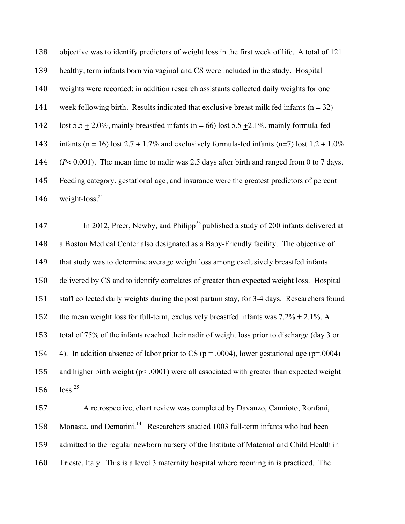| 138 | objective was to identify predictors of weight loss in the first week of life. A total of 121       |  |  |  |  |
|-----|-----------------------------------------------------------------------------------------------------|--|--|--|--|
| 139 | healthy, term infants born via vaginal and CS were included in the study. Hospital                  |  |  |  |  |
| 140 | weights were recorded; in addition research assistants collected daily weights for one              |  |  |  |  |
| 141 | week following birth. Results indicated that exclusive breast milk fed infants ( $n = 32$ )         |  |  |  |  |
| 142 | lost 5.5 $\pm$ 2.0%, mainly breastfed infants (n = 66) lost 5.5 $\pm$ 2.1%, mainly formula-fed      |  |  |  |  |
| 143 | infants (n = 16) lost 2.7 + 1.7% and exclusively formula-fed infants (n=7) lost $1.2 + 1.0\%$       |  |  |  |  |
| 144 | $(P< 0.001)$ . The mean time to nadir was 2.5 days after birth and ranged from 0 to 7 days.         |  |  |  |  |
| 145 | Feeding category, gestational age, and insurance were the greatest predictors of percent            |  |  |  |  |
| 146 | weight-loss. <sup>24</sup>                                                                          |  |  |  |  |
| 147 | In 2012, Preer, Newby, and Philipp <sup>25</sup> published a study of 200 infants delivered at      |  |  |  |  |
| 148 | a Boston Medical Center also designated as a Baby-Friendly facility. The objective of               |  |  |  |  |
| 149 | that study was to determine average weight loss among exclusively breastfed infants                 |  |  |  |  |
| 150 | delivered by CS and to identify correlates of greater than expected weight loss. Hospital           |  |  |  |  |
| 151 | staff collected daily weights during the post partum stay, for 3-4 days. Researchers found          |  |  |  |  |
| 152 | the mean weight loss for full-term, exclusively breastfed infants was $7.2\% \pm 2.1\%$ . A         |  |  |  |  |
| 153 | total of 75% of the infants reached their nadir of weight loss prior to discharge (day 3 or         |  |  |  |  |
| 154 | 4). In addition absence of labor prior to CS ( $p = .0004$ ), lower gestational age ( $p = .0004$ ) |  |  |  |  |
| 155 | and higher birth weight ( $p$ < .0001) were all associated with greater than expected weight        |  |  |  |  |
| 156 | loss. <sup>25</sup>                                                                                 |  |  |  |  |
|     |                                                                                                     |  |  |  |  |

 A retrospective, chart review was completed by Davanzo, Cannioto, Ronfani, 158 Monasta, and Demarini.<sup>14</sup> Researchers studied 1003 full-term infants who had been admitted to the regular newborn nursery of the Institute of Maternal and Child Health in Trieste, Italy. This is a level 3 maternity hospital where rooming in is practiced. The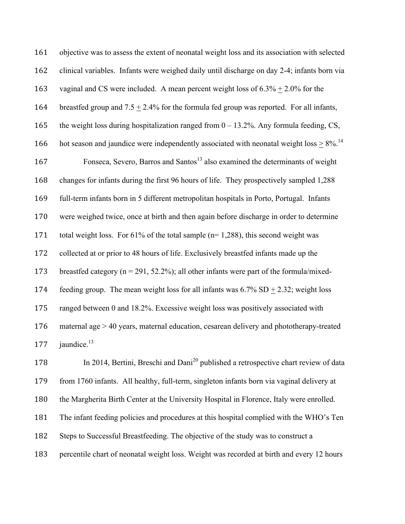objective was to assess the extent of neonatal weight loss and its association with selected clinical variables. Infants were weighed daily until discharge on day 2-4; infants born via vaginal and CS were included. A mean percent weight loss of 6.3% + 2.0% for the 164 breastfed group and  $7.5 + 2.4\%$  for the formula fed group was reported. For all infants, 165 the weight loss during hospitalization ranged from  $0 - 13.2$ %. Any formula feeding, CS, 166 hot season and jaundice were independently associated with neonatal weight loss  $> 8\%$ .<sup>14</sup> 167 Fonseca, Severo, Barros and Santos<sup>13</sup> also examined the determinants of weight changes for infants during the first 96 hours of life. They prospectively sampled 1,288 full-term infants born in 5 different metropolitan hospitals in Porto, Portugal. Infants were weighed twice, once at birth and then again before discharge in order to determine total weight loss. For 61% of the total sample (n= 1,288), this second weight was collected at or prior to 48 hours of life. Exclusively breastfed infants made up the breastfed category (n = 291, 52.2%); all other infants were part of the formula/mixed-174 feeding group. The mean weight loss for all infants was  $6.7\%$  SD + 2.32; weight loss ranged between 0 and 18.2%. Excessive weight loss was positively associated with maternal age > 40 years, maternal education, cesarean delivery and phototherapy-treated 177 jaundice.<sup>13</sup>

178 In 2014, Bertini, Breschi and Dani<sup>20</sup> published a retrospective chart review of data from 1760 infants. All healthy, full-term, singleton infants born via vaginal delivery at the Margherita Birth Center at the University Hospital in Florence, Italy were enrolled. The infant feeding policies and procedures at this hospital complied with the WHO's Ten Steps to Successful Breastfeeding. The objective of the study was to construct a percentile chart of neonatal weight loss. Weight was recorded at birth and every 12 hours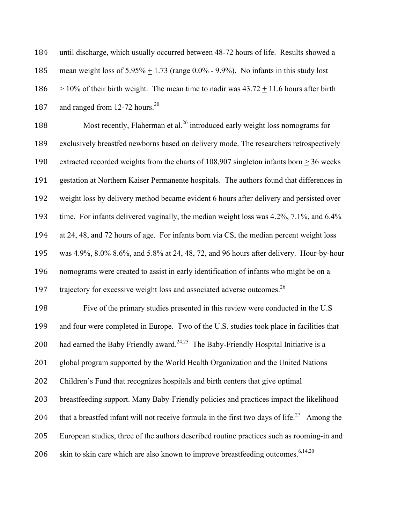| 184 | until discharge, which usually occurred between 48-72 hours of life. Results showed a                   |  |  |  |  |
|-----|---------------------------------------------------------------------------------------------------------|--|--|--|--|
| 185 | mean weight loss of $5.95\% \pm 1.73$ (range 0.0% - 9.9%). No infants in this study lost                |  |  |  |  |
| 186 | $> 10\%$ of their birth weight. The mean time to nadir was $43.72 + 11.6$ hours after birth             |  |  |  |  |
| 187 | and ranged from 12-72 hours. <sup>20</sup>                                                              |  |  |  |  |
| 188 | Most recently, Flaherman et al. <sup>26</sup> introduced early weight loss nomograms for                |  |  |  |  |
| 189 | exclusively breastfed newborns based on delivery mode. The researchers retrospectively                  |  |  |  |  |
| 190 | extracted recorded weights from the charts of $108,907$ singleton infants born $> 36$ weeks             |  |  |  |  |
| 191 | gestation at Northern Kaiser Permanente hospitals. The authors found that differences in                |  |  |  |  |
| 192 | weight loss by delivery method became evident 6 hours after delivery and persisted over                 |  |  |  |  |
| 193 | time. For infants delivered vaginally, the median weight loss was 4.2%, 7.1%, and 6.4%                  |  |  |  |  |
| 194 | at 24, 48, and 72 hours of age. For infants born via CS, the median percent weight loss                 |  |  |  |  |
| 195 | was 4.9%, 8.0% 8.6%, and 5.8% at 24, 48, 72, and 96 hours after delivery. Hour-by-hour                  |  |  |  |  |
| 196 | nomograms were created to assist in early identification of infants who might be on a                   |  |  |  |  |
| 197 | trajectory for excessive weight loss and associated adverse outcomes. <sup>26</sup>                     |  |  |  |  |
| 198 | Five of the primary studies presented in this review were conducted in the U.S.                         |  |  |  |  |
| 199 | and four were completed in Europe. Two of the U.S. studies took place in facilities that                |  |  |  |  |
| 200 | had earned the Baby Friendly award. <sup>24,25</sup> The Baby-Friendly Hospital Initiative is a         |  |  |  |  |
| 201 | global program supported by the World Health Organization and the United Nations                        |  |  |  |  |
| 202 | Children's Fund that recognizes hospitals and birth centers that give optimal                           |  |  |  |  |
| 203 | breastfeeding support. Many Baby-Friendly policies and practices impact the likelihood                  |  |  |  |  |
| 204 | that a breastfed infant will not receive formula in the first two days of life. <sup>27</sup> Among the |  |  |  |  |
| 205 | European studies, three of the authors described routine practices such as rooming-in and               |  |  |  |  |
| 206 | skin to skin care which are also known to improve breastfeeding outcomes. <sup>6,14,20</sup>            |  |  |  |  |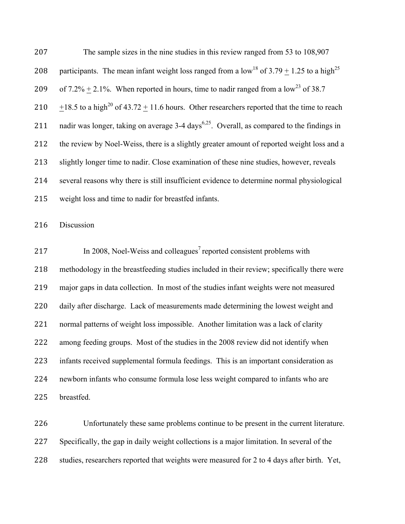| 207 | The sample sizes in the nine studies in this review ranged from 53 to 108,907                                       |
|-----|---------------------------------------------------------------------------------------------------------------------|
| 208 | participants. The mean infant weight loss ranged from a low <sup>18</sup> of $3.79 + 1.25$ to a high <sup>25</sup>  |
| 209 | of 7.2% $\pm$ 2.1%. When reported in hours, time to nadir ranged from a low <sup>23</sup> of 38.7                   |
| 210 | +18.5 to a high <sup>20</sup> of 43.72 $\pm$ 11.6 hours. Other researchers reported that the time to reach          |
| 211 | nadir was longer, taking on average 3-4 days <sup><math>6,25</math></sup> . Overall, as compared to the findings in |
| 212 | the review by Noel-Weiss, there is a slightly greater amount of reported weight loss and a                          |
| 213 | slightly longer time to nadir. Close examination of these nine studies, however, reveals                            |
| 214 | several reasons why there is still insufficient evidence to determine normal physiological                          |
| 215 | weight loss and time to nadir for breastfed infants.                                                                |

Discussion

217 In 2008, Noel-Weiss and colleagues<sup>7</sup> reported consistent problems with methodology in the breastfeeding studies included in their review; specifically there were major gaps in data collection. In most of the studies infant weights were not measured daily after discharge. Lack of measurements made determining the lowest weight and normal patterns of weight loss impossible. Another limitation was a lack of clarity among feeding groups. Most of the studies in the 2008 review did not identify when infants received supplemental formula feedings. This is an important consideration as newborn infants who consume formula lose less weight compared to infants who are breastfed.

 Unfortunately these same problems continue to be present in the current literature. Specifically, the gap in daily weight collections is a major limitation. In several of the studies, researchers reported that weights were measured for 2 to 4 days after birth. Yet,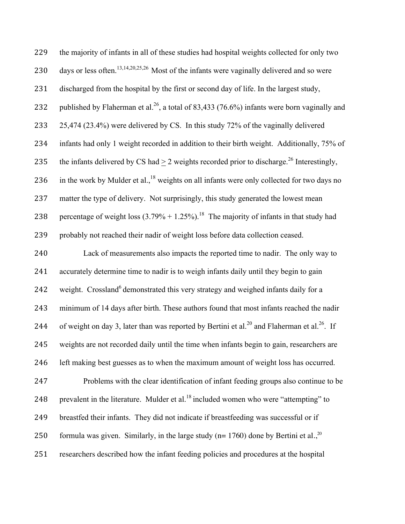| 229 | the majority of infants in all of these studies had hospital weights collected for only two                         |
|-----|---------------------------------------------------------------------------------------------------------------------|
| 230 | days or less often. <sup>13,14,20,25,26</sup> Most of the infants were vaginally delivered and so were              |
| 231 | discharged from the hospital by the first or second day of life. In the largest study,                              |
| 232 | published by Flaherman et al. <sup>26</sup> , a total of 83,433 (76.6%) infants were born vaginally and             |
| 233 | 25,474 (23.4%) were delivered by CS. In this study 72% of the vaginally delivered                                   |
| 234 | infants had only 1 weight recorded in addition to their birth weight. Additionally, 75% of                          |
| 235 | the infants delivered by CS had $\geq$ 2 weights recorded prior to discharge. <sup>26</sup> Interestingly,          |
| 236 | in the work by Mulder et al., <sup>18</sup> weights on all infants were only collected for two days no              |
| 237 | matter the type of delivery. Not surprisingly, this study generated the lowest mean                                 |
| 238 | percentage of weight loss $(3.79\% + 1.25\%)$ . <sup>18</sup> The majority of infants in that study had             |
| 239 | probably not reached their nadir of weight loss before data collection ceased.                                      |
| 240 | Lack of measurements also impacts the reported time to nadir. The only way to                                       |
| 241 | accurately determine time to nadir is to weigh infants daily until they begin to gain                               |
| 242 | weight. Crossland <sup>6</sup> demonstrated this very strategy and weighed infants daily for a                      |
| 243 | minimum of 14 days after birth. These authors found that most infants reached the nadir                             |
| 244 | of weight on day 3, later than was reported by Bertini et al. <sup>20</sup> and Flaherman et al. <sup>26</sup> . If |
| 245 | weights are not recorded daily until the time when infants begin to gain, researchers are                           |
| 246 | left making best guesses as to when the maximum amount of weight loss has occurred.                                 |
| 247 | Problems with the clear identification of infant feeding groups also continue to be                                 |
| 248 | prevalent in the literature. Mulder et al. <sup>18</sup> included women who were "attempting" to                    |
| 249 | breastfed their infants. They did not indicate if breastfeeding was successful or if                                |
| 250 | formula was given. Similarly, in the large study ( $n=1760$ ) done by Bertini et al., <sup>20</sup>                 |
| 251 | researchers described how the infant feeding policies and procedures at the hospital                                |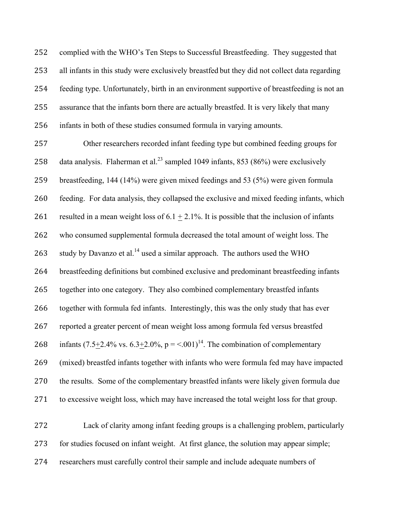complied with the WHO's Ten Steps to Successful Breastfeeding. They suggested that all infants in this study were exclusively breastfed but they did not collect data regarding feeding type. Unfortunately, birth in an environment supportive of breastfeeding is not an assurance that the infants born there are actually breastfed. It is very likely that many infants in both of these studies consumed formula in varying amounts.

 Other researchers recorded infant feeding type but combined feeding groups for 258 data analysis. Flaherman et al.<sup>23</sup> sampled 1049 infants, 853 (86%) were exclusively breastfeeding, 144 (14%) were given mixed feedings and 53 (5%) were given formula feeding. For data analysis, they collapsed the exclusive and mixed feeding infants, which 261 resulted in a mean weight loss of  $6.1 + 2.1\%$ . It is possible that the inclusion of infants who consumed supplemental formula decreased the total amount of weight loss. The 263 study by Davanzo et al.<sup>14</sup> used a similar approach. The authors used the WHO breastfeeding definitions but combined exclusive and predominant breastfeeding infants together into one category. They also combined complementary breastfed infants together with formula fed infants. Interestingly, this was the only study that has ever reported a greater percent of mean weight loss among formula fed versus breastfed 268 infants (7.5+2.4% vs. 6.3+2.0%,  $p = 5(001)^{14}$ . The combination of complementary (mixed) breastfed infants together with infants who were formula fed may have impacted the results. Some of the complementary breastfed infants were likely given formula due to excessive weight loss, which may have increased the total weight loss for that group.

 Lack of clarity among infant feeding groups is a challenging problem, particularly for studies focused on infant weight. At first glance, the solution may appear simple; researchers must carefully control their sample and include adequate numbers of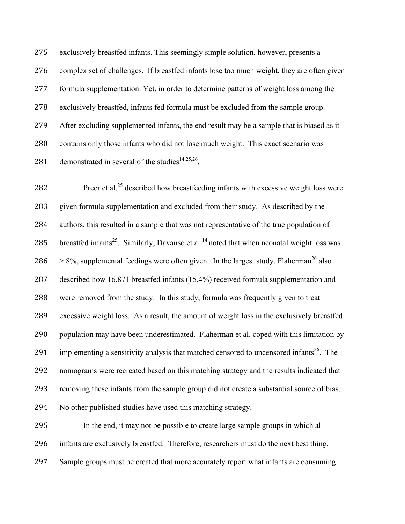exclusively breastfed infants. This seemingly simple solution, however, presents a complex set of challenges. If breastfed infants lose too much weight, they are often given formula supplementation. Yet, in order to determine patterns of weight loss among the exclusively breastfed, infants fed formula must be excluded from the sample group. After excluding supplemented infants, the end result may be a sample that is biased as it contains only those infants who did not lose much weight. This exact scenario was 281 demonstrated in several of the studies<sup>14,25,26</sup>.

282 Preer et al.<sup>25</sup> described how breastfeeding infants with excessive weight loss were given formula supplementation and excluded from their study. As described by the authors, this resulted in a sample that was not representative of the true population of 285 breastfed infants<sup>25</sup>. Similarly, Davanso et al.<sup>14</sup> noted that when neonatal weight loss was  $286 > 8\%$ , supplemental feedings were often given. In the largest study, Flaherman<sup>26</sup> also described how 16,871 breastfed infants (15.4%) received formula supplementation and were removed from the study. In this study, formula was frequently given to treat excessive weight loss. As a result, the amount of weight loss in the exclusively breastfed population may have been underestimated. Flaherman et al. coped with this limitation by 291 implementing a sensitivity analysis that matched censored to uncensored infants<sup>26</sup>. The nomograms were recreated based on this matching strategy and the results indicated that removing these infants from the sample group did not create a substantial source of bias. No other published studies have used this matching strategy.

 In the end, it may not be possible to create large sample groups in which all infants are exclusively breastfed. Therefore, researchers must do the next best thing. Sample groups must be created that more accurately report what infants are consuming.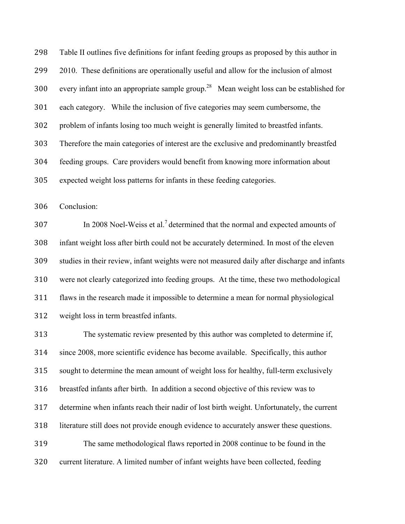Table II outlines five definitions for infant feeding groups as proposed by this author in 2010. These definitions are operationally useful and allow for the inclusion of almost 300 every infant into an appropriate sample group.<sup>28</sup> Mean weight loss can be established for each category. While the inclusion of five categories may seem cumbersome, the problem of infants losing too much weight is generally limited to breastfed infants. Therefore the main categories of interest are the exclusive and predominantly breastfed feeding groups. Care providers would benefit from knowing more information about expected weight loss patterns for infants in these feeding categories.

Conclusion:

 In 2008 Noel-Weiss et al.<sup>7</sup> determined that the normal and expected amounts of infant weight loss after birth could not be accurately determined. In most of the eleven studies in their review, infant weights were not measured daily after discharge and infants were not clearly categorized into feeding groups. At the time, these two methodological flaws in the research made it impossible to determine a mean for normal physiological weight loss in term breastfed infants.

 The systematic review presented by this author was completed to determine if, since 2008, more scientific evidence has become available. Specifically, this author sought to determine the mean amount of weight loss for healthy, full-term exclusively breastfed infants after birth. In addition a second objective of this review was to determine when infants reach their nadir of lost birth weight. Unfortunately, the current literature still does not provide enough evidence to accurately answer these questions. The same methodological flaws reported in 2008 continue to be found in the current literature. A limited number of infant weights have been collected, feeding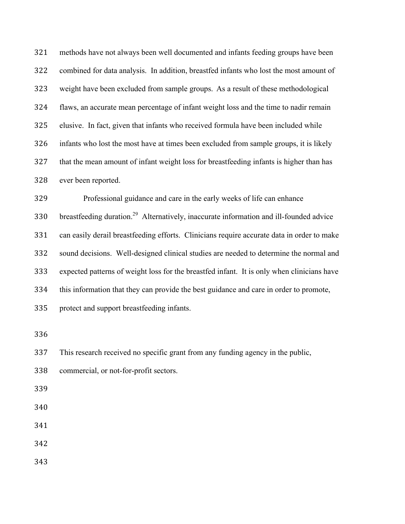methods have not always been well documented and infants feeding groups have been combined for data analysis. In addition, breastfed infants who lost the most amount of weight have been excluded from sample groups. As a result of these methodological flaws, an accurate mean percentage of infant weight loss and the time to nadir remain elusive. In fact, given that infants who received formula have been included while infants who lost the most have at times been excluded from sample groups, it is likely that the mean amount of infant weight loss for breastfeeding infants is higher than has ever been reported.

 Professional guidance and care in the early weeks of life can enhance 330 breastfeeding duration.<sup>29</sup> Alternatively, inaccurate information and ill-founded advice can easily derail breastfeeding efforts. Clinicians require accurate data in order to make sound decisions. Well-designed clinical studies are needed to determine the normal and expected patterns of weight loss for the breastfed infant. It is only when clinicians have this information that they can provide the best guidance and care in order to promote,

protect and support breastfeeding infants.

This research received no specific grant from any funding agency in the public,

- commercial, or not-for-profit sectors.
- 
- 
- 
- 
-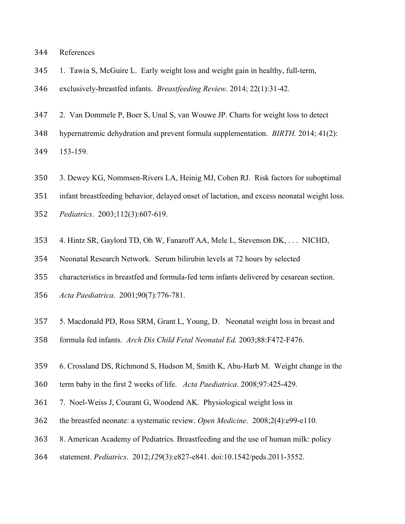References

- 1. Tawia S, McGuire L. Early weight loss and weight gain in healthy, full-term,
- exclusively-breastfed infants. *Breastfeeding Review*. 2014; 22(1):31-42.
- 2. Van Dommele P, Boer S, Unal S, van Wouwe JP. Charts for weight loss to detect
- hypernatremic dehydration and prevent formula supplementation. *BIRTH.* 2014; 41(2):

153-159.

- 3. Dewey KG, Nommsen-Rivers LA, Heinig MJ, Cohen RJ. Risk factors for suboptimal
- infant breastfeeding behavior, delayed onset of lactation, and excess neonatal weight loss.
- *Pediatrics*. 2003;112(3):607-619.
- 4. Hintz SR, Gaylord TD, Oh W, Fanaroff AA, Mele L, Stevenson DK, . . . NICHD,
- Neonatal Research Network. Serum bilirubin levels at 72 hours by selected
- characteristics in breastfed and formula-fed term infants delivered by cesarean section.
- *Acta Paediatrica*. 2001;90(7):776-781.
- 5. Macdonald PD, Ross SRM, Grant L, Young, D. Neonatal weight loss in breast and
- formula fed infants. *Arch Dis Child Fetal Neonatal Ed.* 2003;88:F472-F476.
- 6. Crossland DS, Richmond S, Hudson M, Smith K, Abu-Harb M. Weight change in the
- term baby in the first 2 weeks of life. *Acta Paediatrica*. 2008;97:425-429.
- 7. Noel-Weiss J, Courant G, Woodend AK. Physiological weight loss in
- the breastfed neonate: a systematic review. *Open Medicine*. 2008;2(4):e99-e110.
- 8. American Academy of Pediatrics. Breastfeeding and the use of human milk: policy
- statement. *Pediatrics*. 2012;*129*(3):e827-e841. doi:10.1542/peds.2011-3552.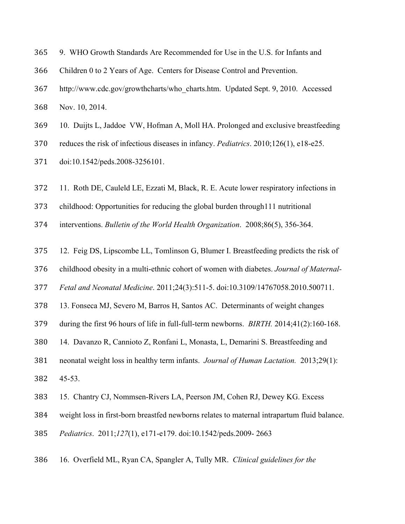- 9. WHO Growth Standards Are Recommended for Use in the U.S. for Infants and
- Children 0 to 2 Years of Age. Centers for Disease Control and Prevention.
- http://www.cdc.gov/growthcharts/who\_charts.htm. Updated Sept. 9, 2010. Accessed

Nov. 10, 2014.

- 10. Duijts L, Jaddoe VW, Hofman A, Moll HA. Prolonged and exclusive breastfeeding
- reduces the risk of infectious diseases in infancy. *Pediatrics*. 2010;126(1), e18-e25.
- doi:10.1542/peds.2008-3256101.
- 11. Roth DE, Cauleld LE, Ezzati M, Black, R. E. Acute lower respiratory infections in
- childhood: Opportunities for reducing the global burden through111 nutritional
- interventions. *Bulletin of the World Health Organization*. 2008;86(5), 356-364.
- 12. Feig DS, Lipscombe LL, Tomlinson G, Blumer I. Breastfeeding predicts the risk of
- childhood obesity in a multi-ethnic cohort of women with diabetes. *Journal of Maternal-*
- *Fetal and Neonatal Medicine*. 2011;24(3):511-5. doi:10.3109/14767058.2010.500711.
- 13. Fonseca MJ, Severo M, Barros H, Santos AC. Determinants of weight changes
- during the first 96 hours of life in full-full-term newborns. *BIRTH.* 2014;41(2):160-168.
- 14. Davanzo R, Cannioto Z, Ronfani L, Monasta, L, Demarini S. Breastfeeding and
- neonatal weight loss in healthy term infants. *Journal of Human Lactation.* 2013;29(1):
- 45-53.
- 15. Chantry CJ, Nommsen-Rivers LA, Peerson JM, Cohen RJ, Dewey KG. Excess
- weight loss in first-born breastfed newborns relates to maternal intrapartum fluid balance.
- *Pediatrics*. 2011;*127*(1), e171-e179. doi:10.1542/peds.2009- 2663
- 16. Overfield ML, Ryan CA, Spangler A, Tully MR. *Clinical guidelines for the*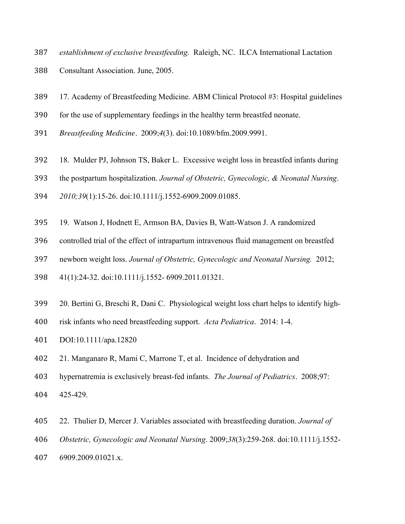- *establishment of exclusive breastfeeding.* Raleigh, NC.ILCA International Lactation
- Consultant Association. June, 2005.
- 17. Academy of Breastfeeding Medicine. ABM Clinical Protocol #3: Hospital guidelines
- for the use of supplementary feedings in the healthy term breastfed neonate.
- *Breastfeeding Medicine.* 2009;*4*(3). doi:10.1089/bfm.2009.9991.
- 18. Mulder PJ, Johnson TS, Baker L. Excessive weight loss in breastfed infants during
- the postpartum hospitalization. *Journal of Obstetric, Gynecologic, & Neonatal Nursing*.
- *2010;39*(1):15-26. doi:10.1111/j.1552-6909.2009.01085.
- 19. Watson J, Hodnett E, Armson BA, Davies B, Watt-Watson J. A randomized
- controlled trial of the effect of intrapartum intravenous fluid management on breastfed
- newborn weight loss. *Journal of Obstetric, Gynecologic and Neonatal Nursing.* 2012;
- 41(1):24-32. doi:10.1111/j.1552- 6909.2011.01321.
- 20. Bertini G, Breschi R, Dani C. Physiological weight loss chart helps to identify high-
- risk infants who need breastfeeding support. *Acta Pediatrica*. 2014: 1-4.
- DOI:10.1111/apa.12820
- 21. Manganaro R, Mami C, Marrone T, et al. Incidence of dehydration and
- hypernatremia is exclusively breast-fed infants. *The Journal of Pediatrics*. 2008;97:
- 425-429.
- 22. Thulier D, Mercer J. Variables associated with breastfeeding duration. *Journal of*
- *Obstetric, Gynecologic and Neonatal Nursing*. 2009;*38*(3):259-268. doi:10.1111/j.1552-
- 6909.2009.01021.x.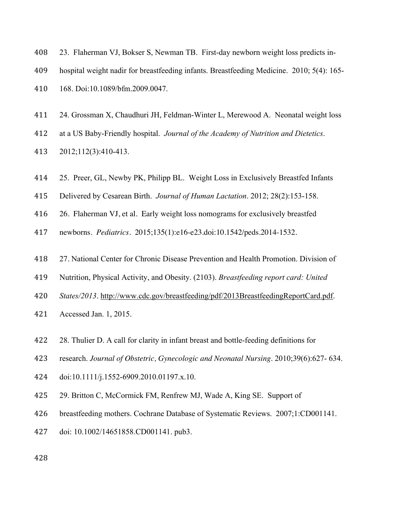| 408 | 23. Flaherman VJ, Bokser S, Newman TB. First-day newborn weight loss predicts in-         |
|-----|-------------------------------------------------------------------------------------------|
| 409 | hospital weight nadir for breastfeeding infants. Breastfeeding Medicine. 2010; 5(4): 165- |
| 410 | 168. Doi:10.1089/bfm.2009.0047.                                                           |
| 411 | 24. Grossman X, Chaudhuri JH, Feldman-Winter L, Merewood A. Neonatal weight loss          |

at a US Baby-Friendly hospital. *Journal of the Academy of Nutrition and Dietetics*.

2012;112(3):410-413.

- 25. Preer, GL, Newby PK, Philipp BL. Weight Loss in Exclusively Breastfed Infants
- Delivered by Cesarean Birth. *Journal of Human Lactation*. 2012; 28(2):153-158.
- 26. Flaherman VJ, et al. Early weight loss nomograms for exclusively breastfed

newborns. *Pediatrics*. 2015;135(1):e16-e23.doi:10.1542/peds.2014-1532.

- 27. National Center for Chronic Disease Prevention and Health Promotion. Division of
- Nutrition, Physical Activity, and Obesity. (2103). *Breastfeeding report card: United*
- *States/2013*. http://www.cdc.gov/breastfeeding/pdf/2013BreastfeedingReportCard.pdf.
- Accessed Jan. 1, 2015.
- 28. Thulier D. A call for clarity in infant breast and bottle-feeding definitions for
- research. *Journal of Obstetric, Gynecologic and Neonatal Nursing*. 2010;39(6):627- 634.
- doi:10.1111/j.1552-6909.2010.01197.x.10.
- 29. Britton C, McCormick FM, Renfrew MJ, Wade A, King SE. Support of
- breastfeeding mothers. Cochrane Database of Systematic Reviews. 2007;1:CD001141.
- doi: 10.1002/14651858.CD001141. pub3.
-